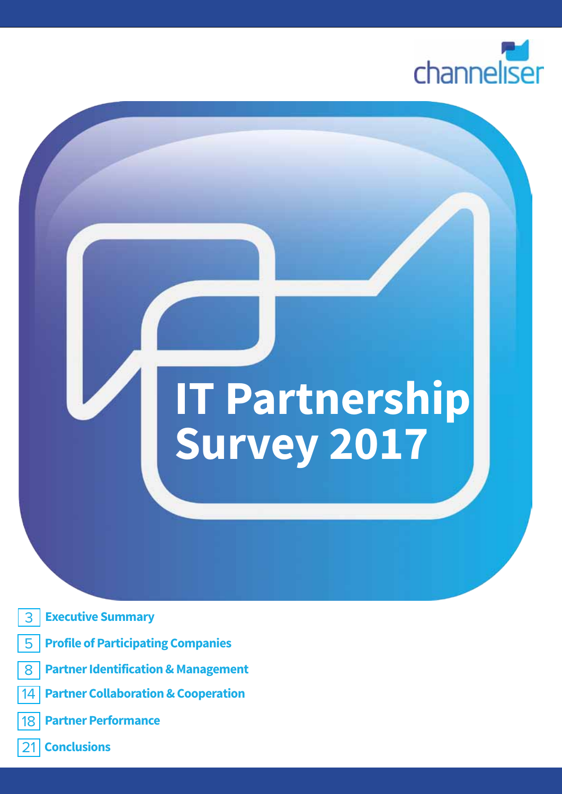

**1**

# **IT Partnership Survey 2017**

- 3 **Executive Summary**
- 5 **Profile of Participating Companies**
- 8 **Partner Identification & Management**
- 14 **Partner Collaboration & Cooperation**
- 18 **Partner Performance**
- 21 **Conclusions**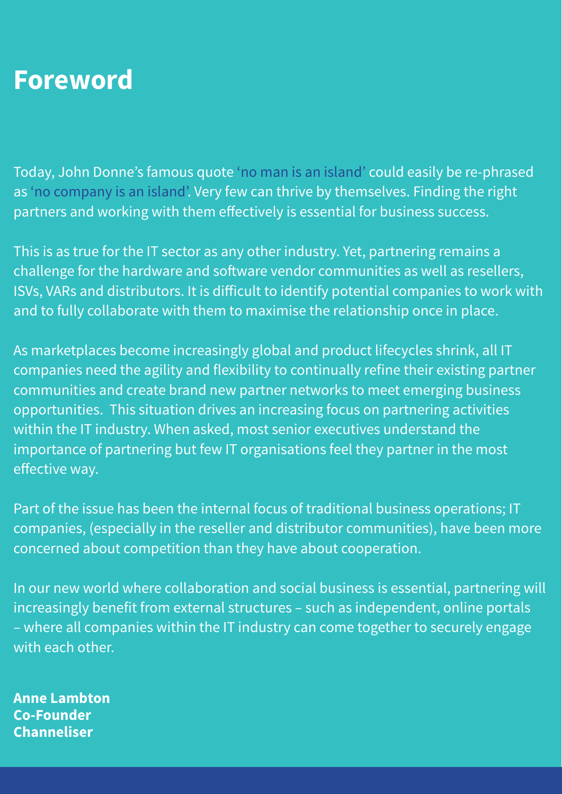### **Foreword**

Today, John Donne's famous quote 'no man is an island' could easily be re-phrased as 'no company is an island'. Very few can thrive by themselves. Finding the right partners and working with them effectively is essential for business success.

This is as true for the IT sector as any other industry. Yet, partnering remains a challenge for the hardware and software vendor communities as well as resellers, ISVs, VARs and distributors. It is difficult to identify potential companies to work with and to fully collaborate with them to maximise the relationship once in place.

As marketplaces become increasingly global and product lifecycles shrink, all IT companies need the agility and flexibility to continually refine their existing partner communities and create brand new partner networks to meet emerging business opportunities. This situation drives an increasing focus on partnering activities within the IT industry. When asked, most senior executives understand the importance of partnering but few IT organisations feel they partner in the most effective way.

Part of the issue has been the internal focus of traditional business operations; IT companies, (especially in the reseller and distributor communities), have been more concerned about competition than they have about cooperation.

In our new world where collaboration and social business is essential, partnering will increasingly benefit from external structures – such as independent, online portals – where all companies within the IT industry can come together to securely engage with each other.

**Anne Lambton Co-Founder Channeliser**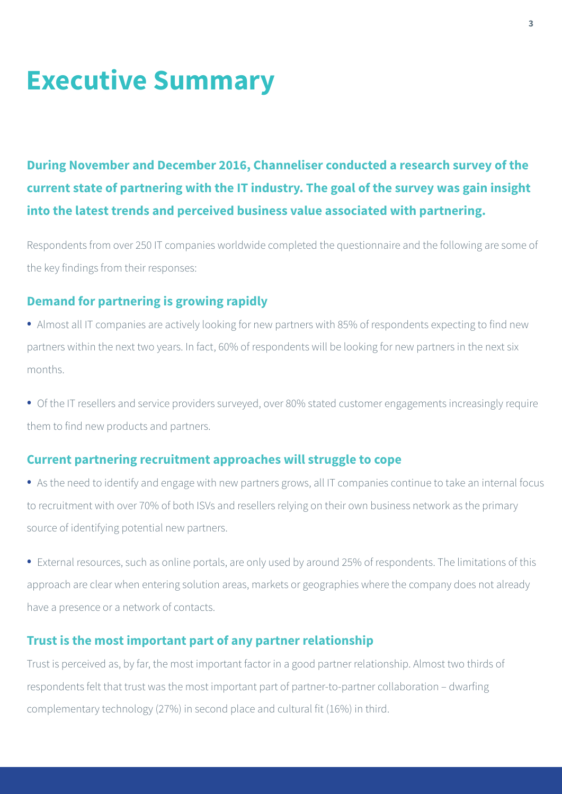### **Executive Summary**

**During November and December 2016, Channeliser conducted a research survey of the current state of partnering with the IT industry. The goal of the survey was gain insight into the latest trends and perceived business value associated with partnering.**

Respondents from over 250 IT companies worldwide completed the questionnaire and the following are some of the key findings from their responses:

#### **Demand for partnering is growing rapidly**

• Almost all IT companies are actively looking for new partners with 85% of respondents expecting to find new partners within the next two years. In fact, 60% of respondents will be looking for new partners in the next six months.

• Of the IT resellers and service providers surveyed, over 80% stated customer engagements increasingly require them to find new products and partners.

#### **Current partnering recruitment approaches will struggle to cope**

• As the need to identify and engage with new partners grows, all IT companies continue to take an internal focus to recruitment with over 70% of both ISVs and resellers relying on their own business network as the primary source of identifying potential new partners.

• External resources, such as online portals, are only used by around 25% of respondents. The limitations of this approach are clear when entering solution areas, markets or geographies where the company does not already have a presence or a network of contacts.

#### **Trust is the most important part of any partner relationship**

Trust is perceived as, by far, the most important factor in a good partner relationship. Almost two thirds of respondents felt that trust was the most important part of partner-to-partner collaboration – dwarfing complementary technology (27%) in second place and cultural fit (16%) in third.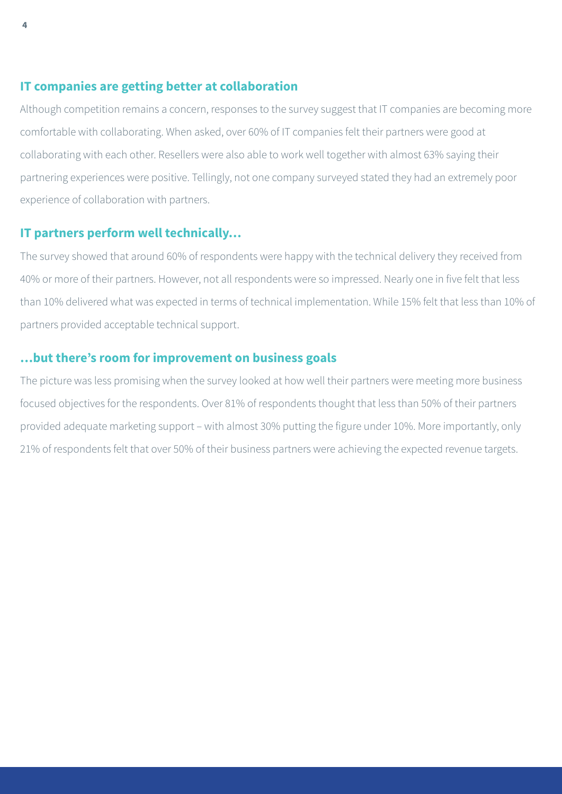#### **IT companies are getting better at collaboration**

Although competition remains a concern, responses to the survey suggest that IT companies are becoming more comfortable with collaborating. When asked, over 60% of IT companies felt their partners were good at collaborating with each other. Resellers were also able to work well together with almost 63% saying their partnering experiences were positive. Tellingly, not one company surveyed stated they had an extremely poor experience of collaboration with partners.

#### **IT partners perform well technically…**

The survey showed that around 60% of respondents were happy with the technical delivery they received from 40% or more of their partners. However, not all respondents were so impressed. Nearly one in five felt that less than 10% delivered what was expected in terms of technical implementation. While 15% felt that less than 10% of partners provided acceptable technical support.

#### **…but there's room for improvement on business goals**

The picture was less promising when the survey looked at how well their partners were meeting more business focused objectives for the respondents. Over 81% of respondents thought that less than 50% of their partners provided adequate marketing support – with almost 30% putting the figure under 10%. More importantly, only 21% of respondents felt that over 50% of their business partners were achieving the expected revenue targets.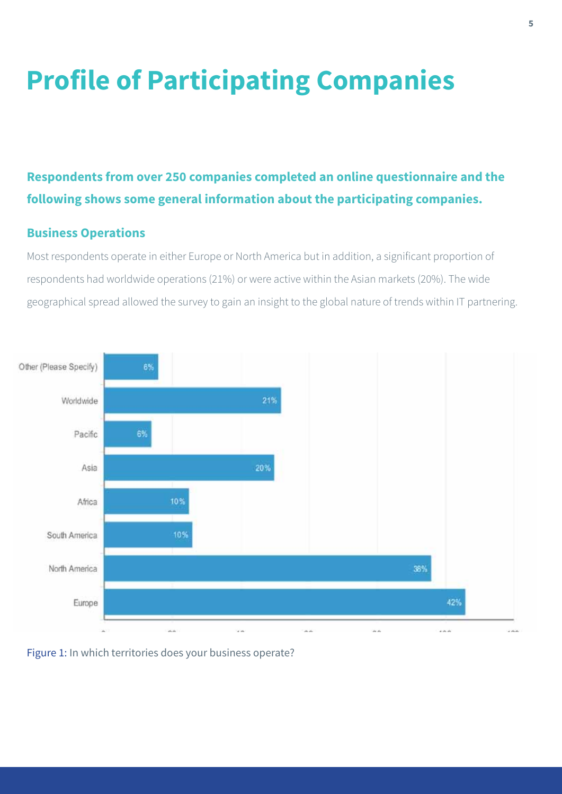# **Profile of Participating Companies**

### **Respondents from over 250 companies completed an online questionnaire and the following shows some general information about the participating companies.**

#### **Business Operations**

Most respondents operate in either Europe or North America but in addition, a significant proportion of respondents had worldwide operations (21%) or were active within the Asian markets (20%). The wide geographical spread allowed the survey to gain an insight to the global nature of trends within IT partnering.



#### Figure 1: In which territories does your business operate?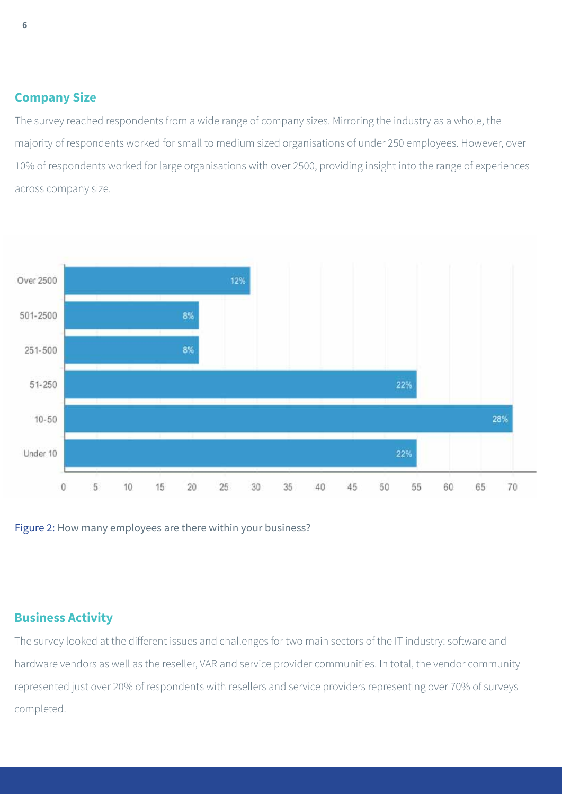#### **Company Size**

The survey reached respondents from a wide range of company sizes. Mirroring the industry as a whole, the majority of respondents worked for small to medium sized organisations of under 250 employees. However, over 10% of respondents worked for large organisations with over 2500, providing insight into the range of experiences across company size.



Figure 2: How many employees are there within your business?

#### **Business Activity**

The survey looked at the different issues and challenges for two main sectors of the IT industry: software and hardware vendors as well as the reseller, VAR and service provider communities. In total, the vendor community represented just over 20% of respondents with resellers and service providers representing over 70% of surveys completed.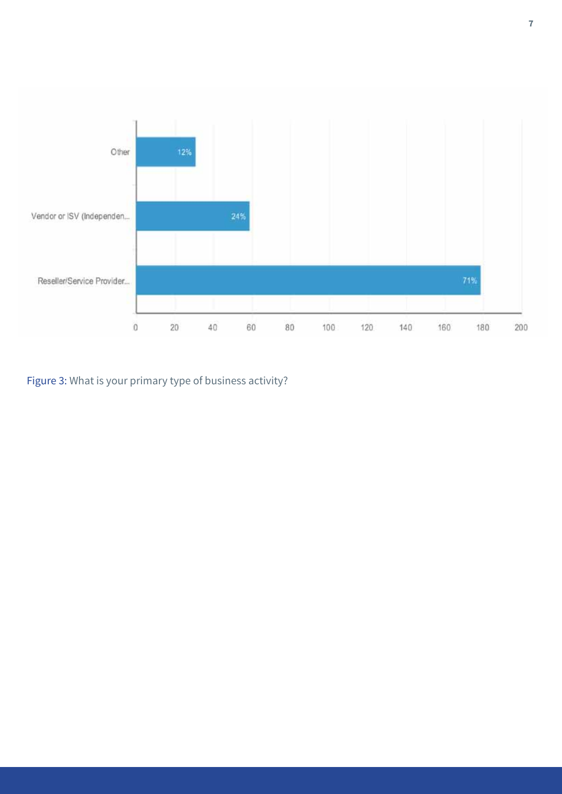

Figure 3: What is your primary type of business activity?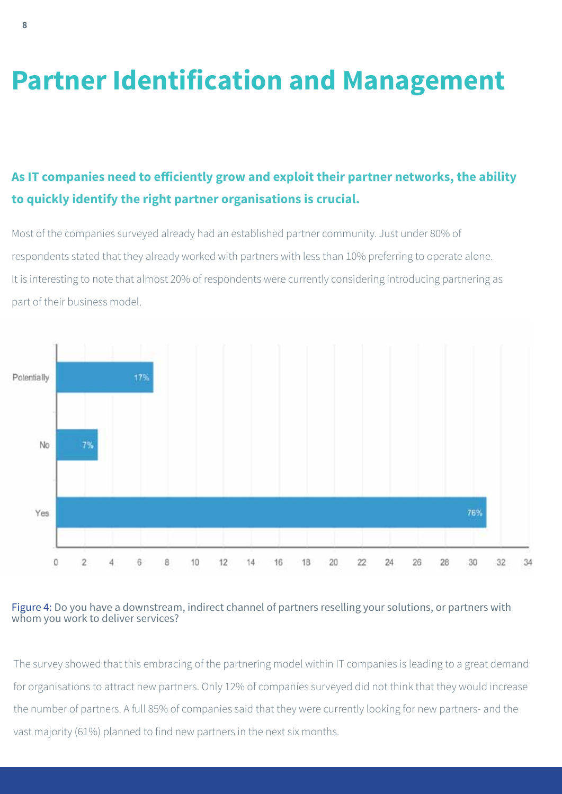### **Partner Identification and Management**

### **As IT companies need to efficiently grow and exploit their partner networks, the ability to quickly identify the right partner organisations is crucial.**

Most of the companies surveyed already had an established partner community. Just under 80% of respondents stated that they already worked with partners with less than 10% preferring to operate alone. It is interesting to note that almost 20% of respondents were currently considering introducing partnering as part of their business model.



#### Figure 4: Do you have a downstream, indirect channel of partners reselling your solutions, or partners with whom you work to deliver services?

The survey showed that this embracing of the partnering model within IT companies is leading to a great demand for organisations to attract new partners. Only 12% of companies surveyed did not think that they would increase the number of partners. A full 85% of companies said that they were currently looking for new partners- and the vast majority (61%) planned to find new partners in the next six months.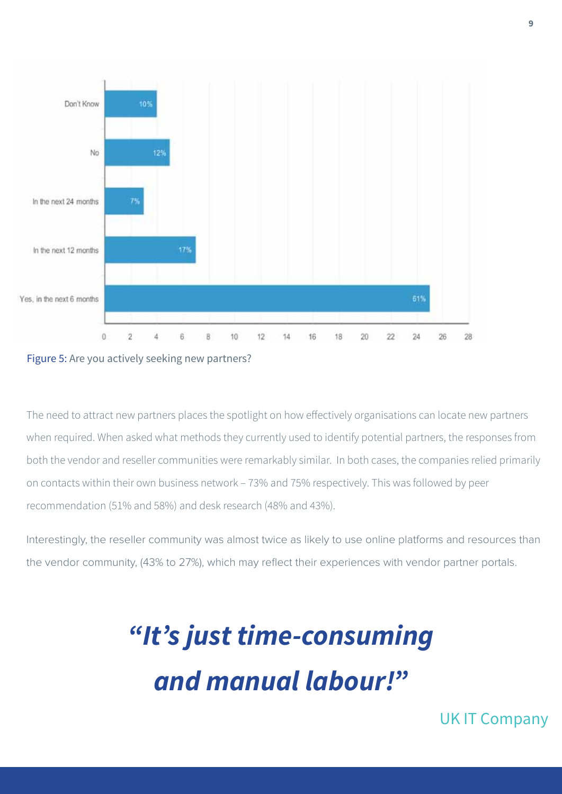



The need to attract new partners places the spotlight on how effectively organisations can locate new partners when required. When asked what methods they currently used to identify potential partners, the responses from both the vendor and reseller communities were remarkably similar. In both cases, the companies relied primarily on contacts within their own business network – 73% and 75% respectively. This was followed by peer recommendation (51% and 58%) and desk research (48% and 43%).

Interestingly, the reseller community was almost twice as likely to use online platforms and resources than the vendor community, (43% to 27%), which may reflect their experiences with vendor partner portals.

# *"It's just time-consuming and manual labour!"*

UK IT Company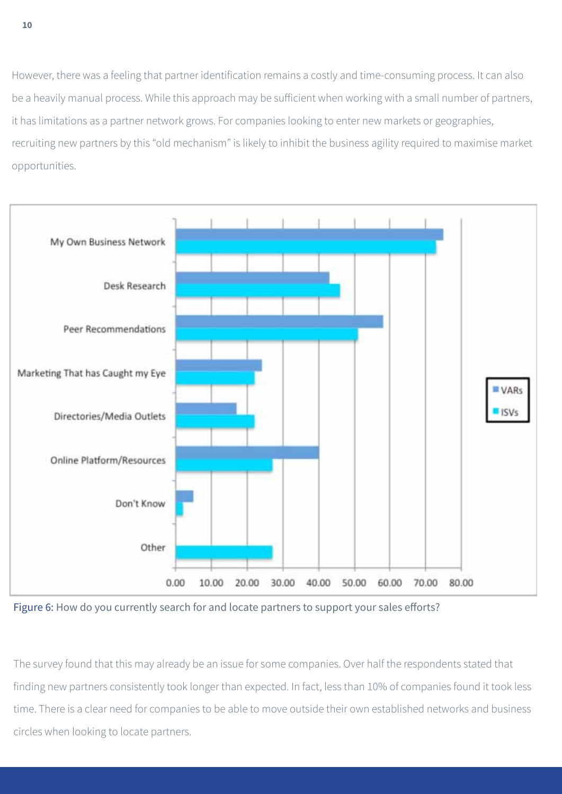However, there was a feeling that partner identification remains a costly and time-consuming process. It can also be a heavily manual process. While this approach may be sufficient when working with a small number of partners, it has limitations as a partner network grows. For companies looking to enter new markets or geographies, recruiting new partners by this "old mechanism" is likely to inhibit the business agility required to maximise market opportunities.



Figure 6: How do you currently search for and locate partners to support your sales efforts?

The survey found that this may already be an issue for some companies. Over half the respondents stated that finding new partners consistently took longer than expected. In fact, less than 10% of companies found it took less time. There is a clear need for companies to be able to move outside their own established networks and business circles when looking to locate partners.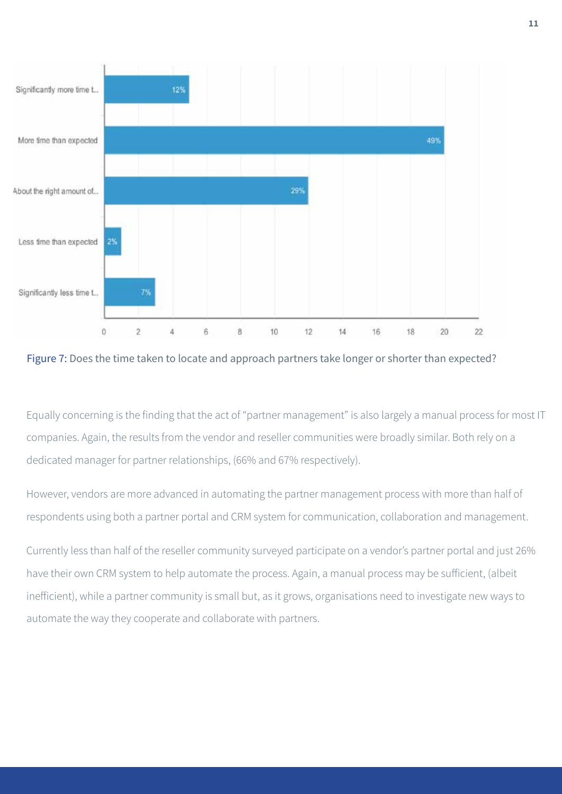

Figure 7: Does the time taken to locate and approach partners take longer or shorter than expected?

Equally concerning is the finding that the act of "partner management" is also largely a manual process for most IT companies. Again, the results from the vendor and reseller communities were broadly similar. Both rely on a dedicated manager for partner relationships, (66% and 67% respectively).

However, vendors are more advanced in automating the partner management process with more than half of respondents using both a partner portal and CRM system for communication, collaboration and management.

Currently less than half of the reseller community surveyed participate on a vendor's partner portal and just 26% have their own CRM system to help automate the process. Again, a manual process may be sufficient, (albeit inefficient), while a partner community is small but, as it grows, organisations need to investigate new ways to automate the way they cooperate and collaborate with partners.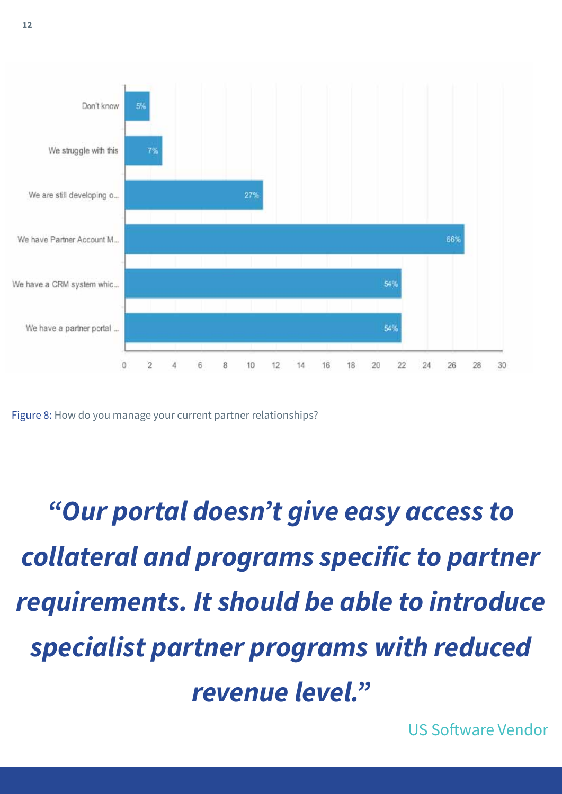

Figure 8: How do you manage your current partner relationships?

*"Our portal doesn't give easy access to collateral and programs specific to partner requirements. It should be able to introduce specialist partner programs with reduced revenue level."*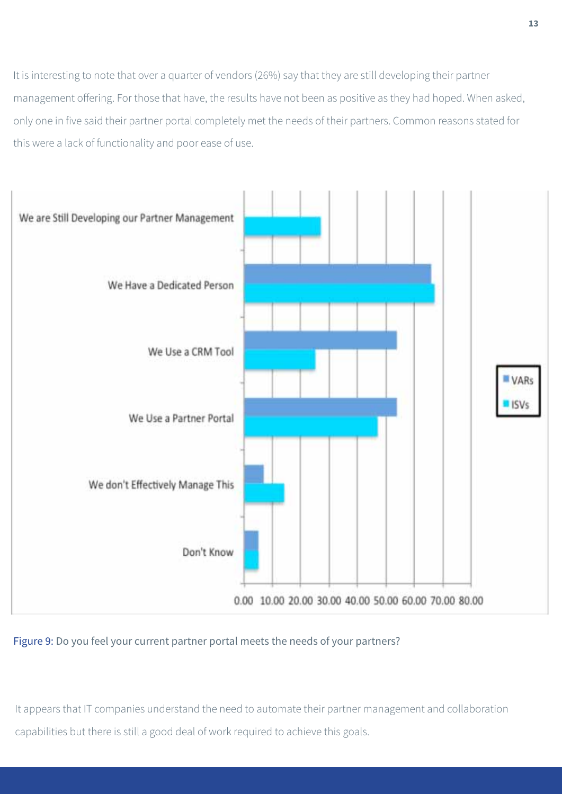It is interesting to note that over a quarter of vendors (26%) say that they are still developing their partner management offering. For those that have, the results have not been as positive as they had hoped. When asked, only one in five said their partner portal completely met the needs of their partners. Common reasons stated for this were a lack of functionality and poor ease of use.



#### Figure 9: Do you feel your current partner portal meets the needs of your partners?

It appears that IT companies understand the need to automate their partner management and collaboration capabilities but there is still a good deal of work required to achieve this goals.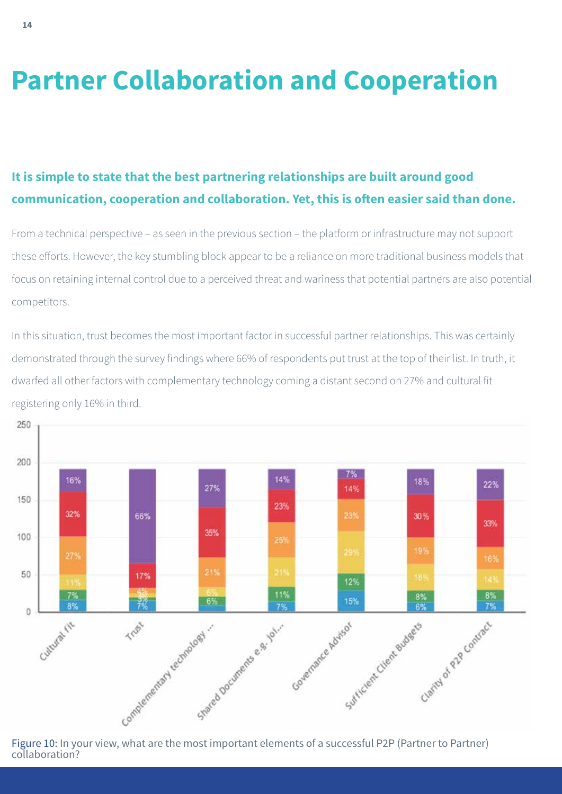### **Partner Collaboration and Cooperation**

### **It is simple to state that the best partnering relationships are built around good communication, cooperation and collaboration. Yet, this is often easier said than done.**

From a technical perspective – as seen in the previous section – the platform or infrastructure may not support these efforts. However, the key stumbling block appear to be a reliance on more traditional business models that focus on retaining internal control due to a perceived threat and wariness that potential partners are also potential competitors.

In this situation, trust becomes the most important factor in successful partner relationships. This was certainly demonstrated through the survey findings where 66% of respondents put trust at the top of their list. In truth, it dwarfed all other factors with complementary technology coming a distant second on 27% and cultural fit registering only 16% in third.



collaboration?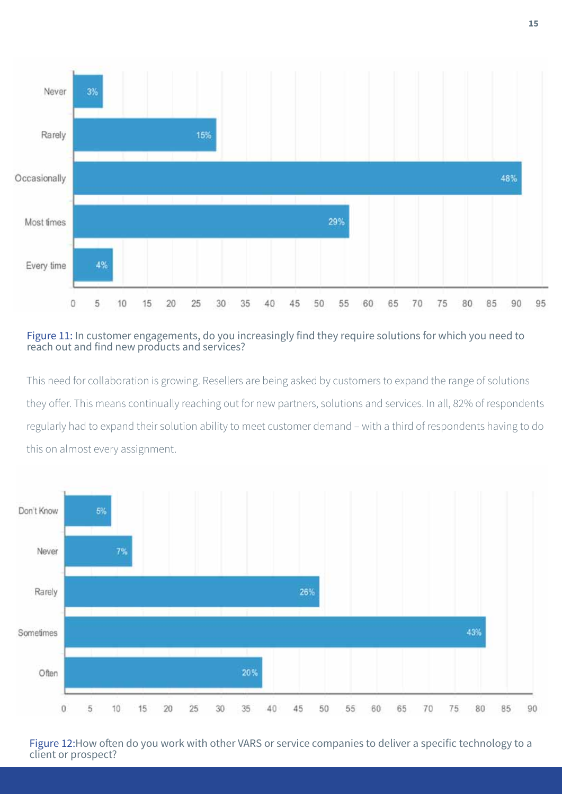

Figure 11: In customer engagements, do you increasingly find they require solutions for which you need to reach out and find new products and services?

This need for collaboration is growing. Resellers are being asked by customers to expand the range of solutions they offer. This means continually reaching out for new partners, solutions and services. In all, 82% of respondents regularly had to expand their solution ability to meet customer demand – with a third of respondents having to do this on almost every assignment.



Figure 12:How often do you work with other VARS or service companies to deliver a specific technology to a client or prospect?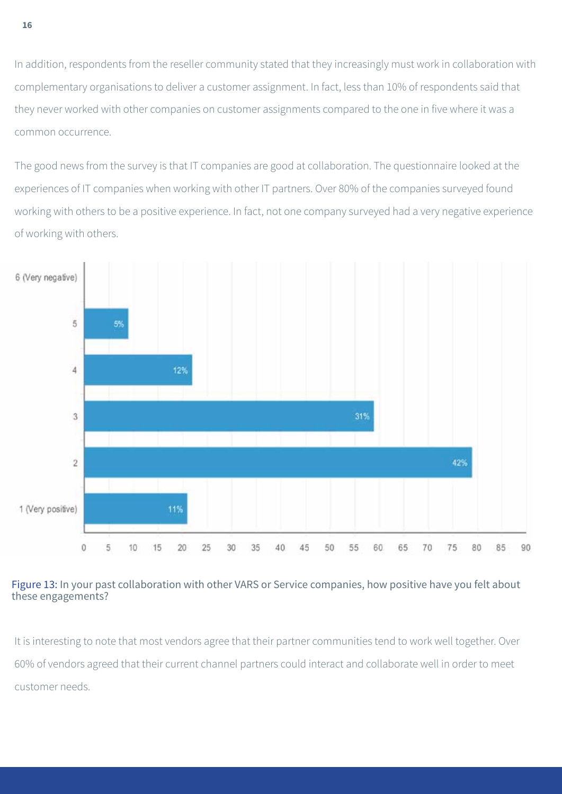In addition, respondents from the reseller community stated that they increasingly must work in collaboration with complementary organisations to deliver a customer assignment. In fact, less than 10% of respondents said that they never worked with other companies on customer assignments compared to the one in five where it was a common occurrence.

The good news from the survey is that IT companies are good at collaboration. The questionnaire looked at the experiences of IT companies when working with other IT partners. Over 80% of the companies surveyed found working with others to be a positive experience. In fact, not one company surveyed had a very negative experience of working with others.



#### Figure 13: In your past collaboration with other VARS or Service companies, how positive have you felt about these engagements?

It is interesting to note that most vendors agree that their partner communities tend to work well together. Over 60% of vendors agreed that their current channel partners could interact and collaborate well in order to meet customer needs.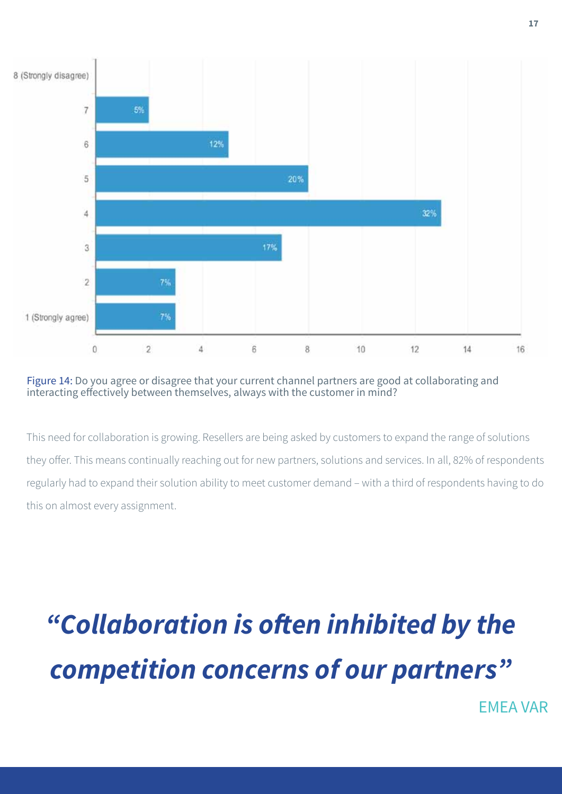

#### Figure 14: Do you agree or disagree that your current channel partners are good at collaborating and interacting effectively between themselves, always with the customer in mind?

This need for collaboration is growing. Resellers are being asked by customers to expand the range of solutions they offer. This means continually reaching out for new partners, solutions and services. In all, 82% of respondents regularly had to expand their solution ability to meet customer demand – with a third of respondents having to do this on almost every assignment.

# *"Collaboration is often inhibited by the competition concerns of our partners"*

EMEA VAR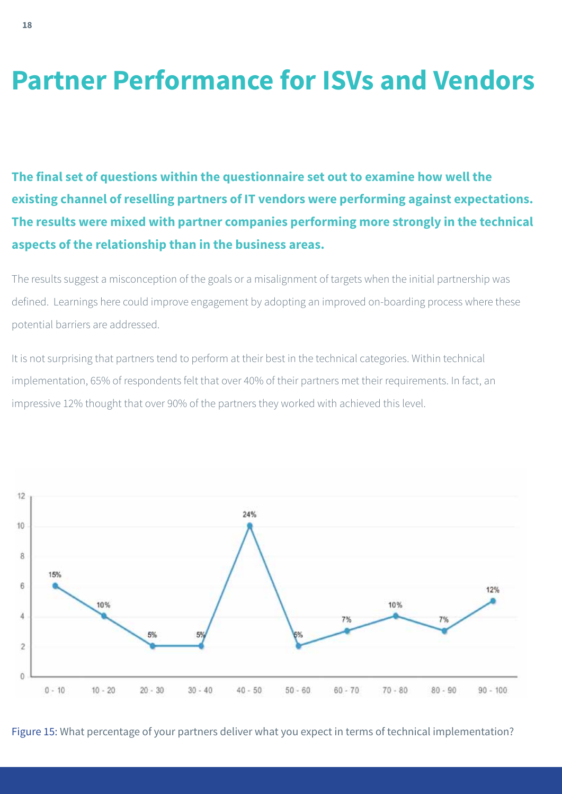### **Partner Performance for ISVs and Vendors**

**The final set of questions within the questionnaire set out to examine how well the existing channel of reselling partners of IT vendors were performing against expectations. The results were mixed with partner companies performing more strongly in the technical aspects of the relationship than in the business areas.** 

The results suggest a misconception of the goals or a misalignment of targets when the initial partnership was defined. Learnings here could improve engagement by adopting an improved on-boarding process where these potential barriers are addressed.

It is not surprising that partners tend to perform at their best in the technical categories. Within technical implementation, 65% of respondents felt that over 40% of their partners met their requirements. In fact, an impressive 12% thought that over 90% of the partners they worked with achieved this level.



Figure 15: What percentage of your partners deliver what you expect in terms of technical implementation?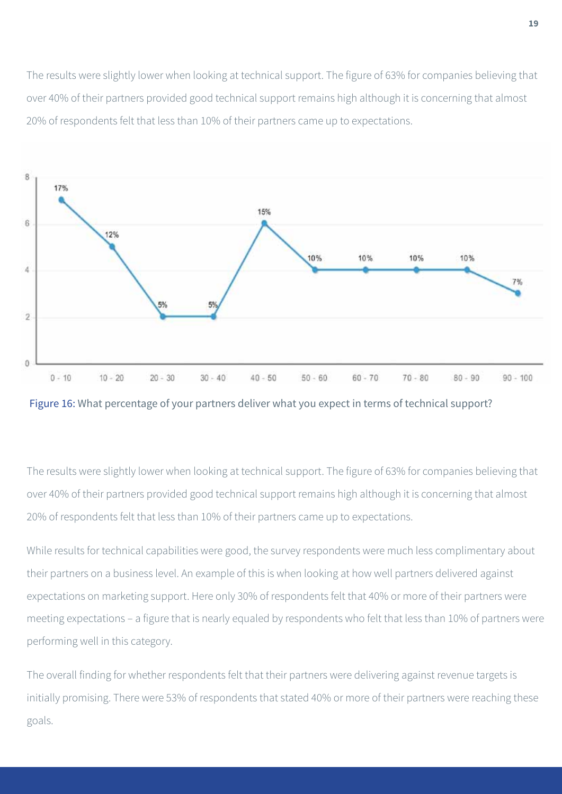The results were slightly lower when looking at technical support. The figure of 63% for companies believing that over 40% of their partners provided good technical support remains high although it is concerning that almost 20% of respondents felt that less than 10% of their partners came up to expectations.





The results were slightly lower when looking at technical support. The figure of 63% for companies believing that over 40% of their partners provided good technical support remains high although it is concerning that almost 20% of respondents felt that less than 10% of their partners came up to expectations.

While results for technical capabilities were good, the survey respondents were much less complimentary about their partners on a business level. An example of this is when looking at how well partners delivered against expectations on marketing support. Here only 30% of respondents felt that 40% or more of their partners were meeting expectations – a figure that is nearly equaled by respondents who felt that less than 10% of partners were performing well in this category.

The overall finding for whether respondents felt that their partners were delivering against revenue targets is initially promising. There were 53% of respondents that stated 40% or more of their partners were reaching these goals.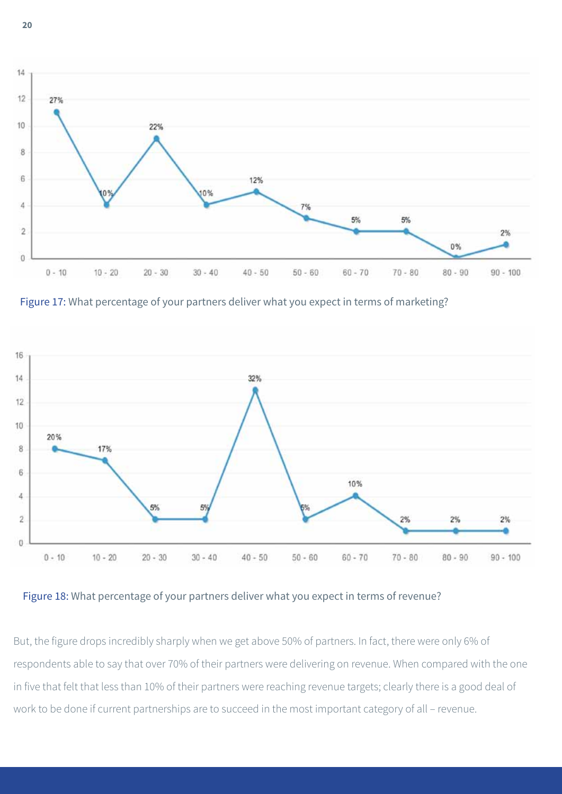

Figure 17: What percentage of your partners deliver what you expect in terms of marketing?



Figure 18: What percentage of your partners deliver what you expect in terms of revenue?

But, the figure drops incredibly sharply when we get above 50% of partners. In fact, there were only 6% of respondents able to say that over 70% of their partners were delivering on revenue. When compared with the one in five that felt that less than 10% of their partners were reaching revenue targets; clearly there is a good deal of work to be done if current partnerships are to succeed in the most important category of all – revenue.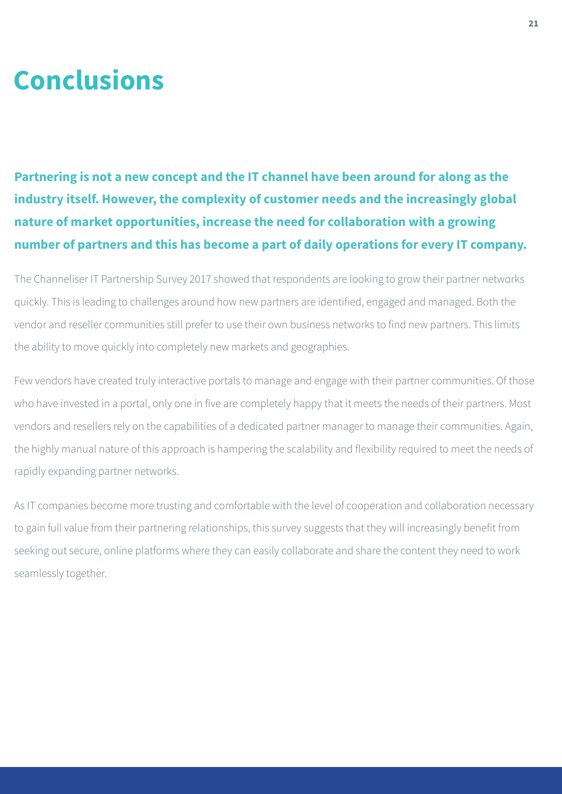### **Conclusions**

**Partnering is not a new concept and the IT channel have been around for along as the industry itself. However, the complexity of customer needs and the increasingly global nature of market opportunities, increase the need for collaboration with a growing number of partners and this has become a part of daily operations for every IT company.**

The Channeliser IT Partnership Survey 2017 showed that respondents are looking to grow their partner networks quickly. This is leading to challenges around how new partners are identified, engaged and managed. Both the vendor and reseller communities still prefer to use their own business networks to find new partners. This limits the ability to move quickly into completely new markets and geographies.

Few vendors have created truly interactive portals to manage and engage with their partner communities. Of those who have invested in a portal, only one in five are completely happy that it meets the needs of their partners. Most vendors and resellers rely on the capabilities of a dedicated partner manager to manage their communities. Again, the highly manual nature of this approach is hampering the scalability and flexibility required to meet the needs of rapidly expanding partner networks.

As IT companies become more trusting and comfortable with the level of cooperation and collaboration necessary to gain full value from their partnering relationships, this survey suggests that they will increasingly benefit from seeking out secure, online platforms where they can easily collaborate and share the content they need to work seamlessly together.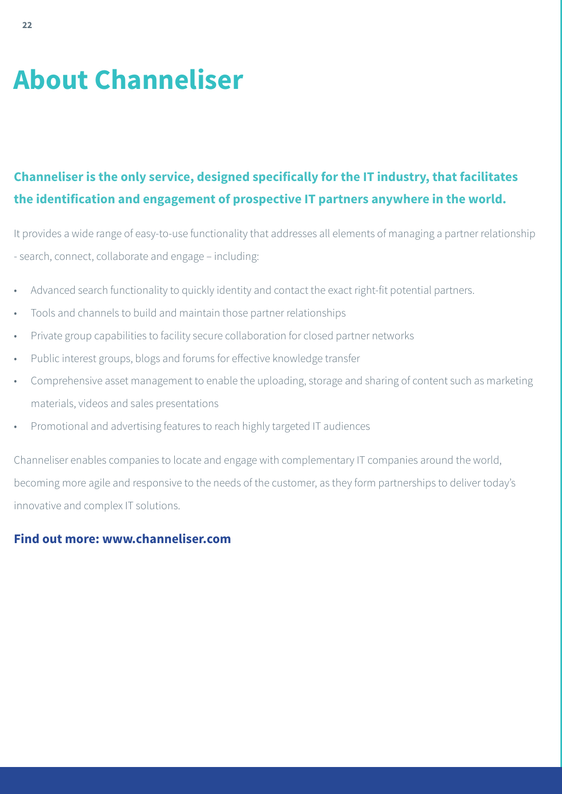## **About Channeliser**

### **Channeliser is the only service, designed specifically for the IT industry, that facilitates the identification and engagement of prospective IT partners anywhere in the world.**

It provides a wide range of easy-to-use functionality that addresses all elements of managing a partner relationship - search, connect, collaborate and engage – including:

- Advanced search functionality to quickly identity and contact the exact right-fit potential partners.
- Tools and channels to build and maintain those partner relationships
- Private group capabilities to facility secure collaboration for closed partner networks
- Public interest groups, blogs and forums for effective knowledge transfer
- Comprehensive asset management to enable the uploading, storage and sharing of content such as marketing materials, videos and sales presentations
- Promotional and advertising features to reach highly targeted IT audiences

Channeliser enables companies to locate and engage with complementary IT companies around the world, becoming more agile and responsive to the needs of the customer, as they form partnerships to deliver today's innovative and complex IT solutions.

#### **Find out more: www.channeliser.com**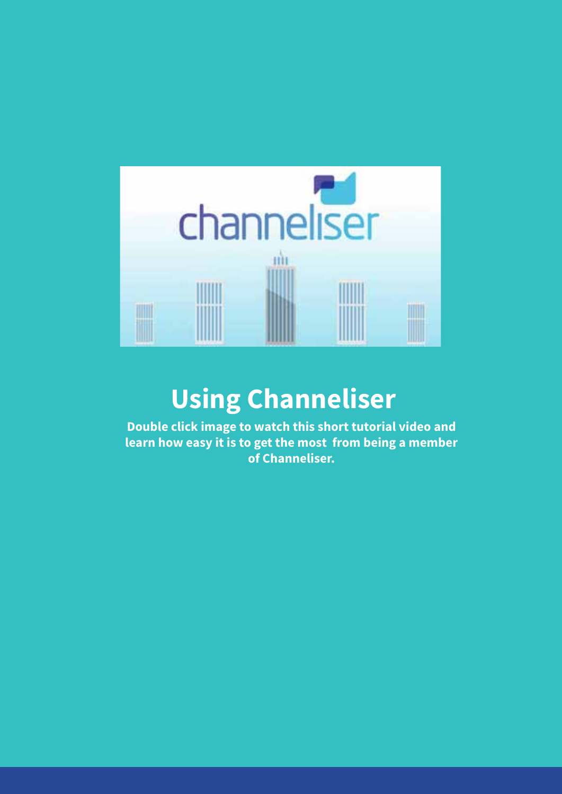

### **Using Channeliser**

**Double click image to watch this short tutorial video and learn how easy it is to get the most from being a member of Channeliser.**